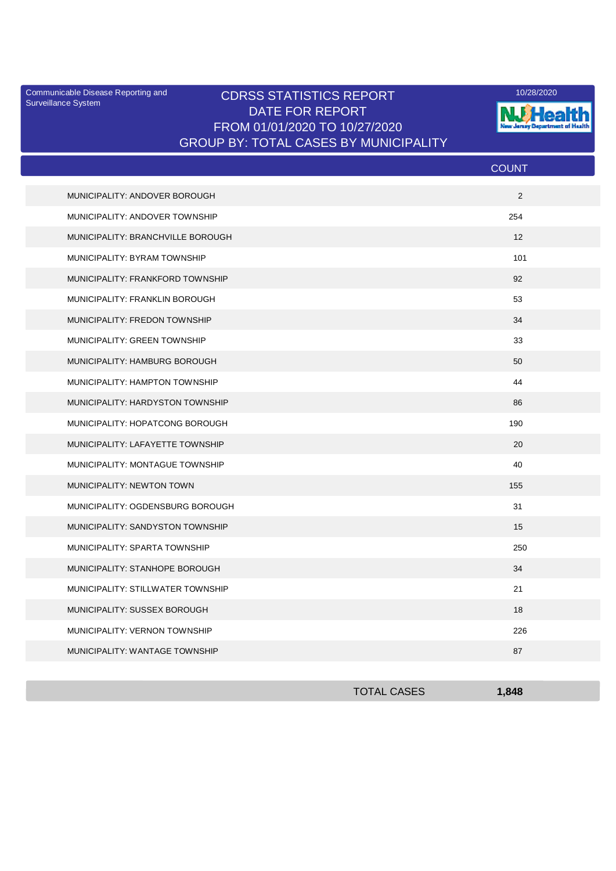Surveillance System

## Communicable Disease Reporting and **CDRSS STATISTICS REPORT** 10/28/2020<br>Curreillance Statem DATE FOR REPORT FROM 01/01/2020 TO 10/27/2020 GROUP BY: TOTAL CASES BY MUNICIPALITY



|                                   | <b>COUNT</b> |
|-----------------------------------|--------------|
| MUNICIPALITY: ANDOVER BOROUGH     | 2            |
| MUNICIPALITY: ANDOVER TOWNSHIP    | 254          |
| MUNICIPALITY: BRANCHVILLE BOROUGH | 12           |
| MUNICIPALITY: BYRAM TOWNSHIP      | 101          |
| MUNICIPALITY: FRANKFORD TOWNSHIP  | 92           |
| MUNICIPALITY: FRANKLIN BOROUGH    | 53           |
| MUNICIPALITY: FREDON TOWNSHIP     | 34           |
| MUNICIPALITY: GREEN TOWNSHIP      | 33           |
| MUNICIPALITY: HAMBURG BOROUGH     | 50           |
| MUNICIPALITY: HAMPTON TOWNSHIP    | 44           |
| MUNICIPALITY: HARDYSTON TOWNSHIP  | 86           |
| MUNICIPALITY: HOPATCONG BOROUGH   | 190          |
| MUNICIPALITY: LAFAYETTE TOWNSHIP  | 20           |
| MUNICIPALITY: MONTAGUE TOWNSHIP   | 40           |
| MUNICIPALITY: NEWTON TOWN         | 155          |
| MUNICIPALITY: OGDENSBURG BOROUGH  | 31           |
| MUNICIPALITY: SANDYSTON TOWNSHIP  | 15           |
| MUNICIPALITY: SPARTA TOWNSHIP     | 250          |
| MUNICIPALITY: STANHOPE BOROUGH    | 34           |
| MUNICIPALITY: STILLWATER TOWNSHIP | 21           |
| MUNICIPALITY: SUSSEX BOROUGH      | 18           |
| MUNICIPALITY: VERNON TOWNSHIP     | 226          |
| MUNICIPALITY: WANTAGE TOWNSHIP    | 87           |

| <b>TOTAL CASES</b> | ,848 |
|--------------------|------|
|                    |      |